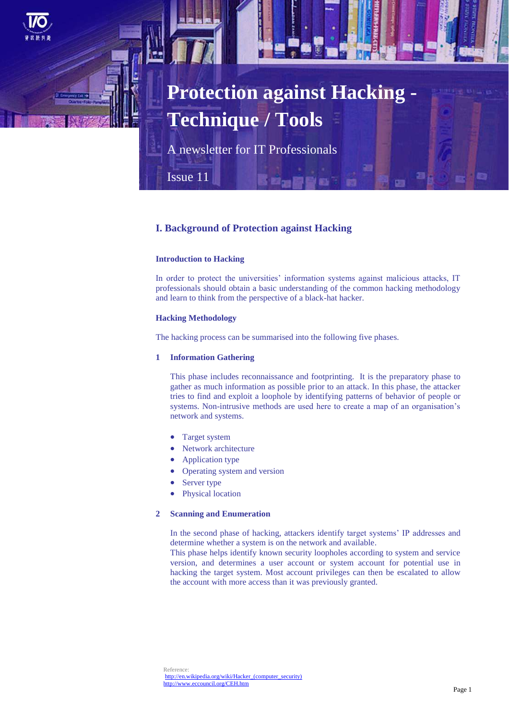

# **Protection against Hacking - Technique / Tools**

A newsletter for IT Professionals

Issue 11

# **I. Background of Protection against Hacking**

# **Introduction to Hacking**

In order to protect the universities' information systems against malicious attacks, IT professionals should obtain a basic understanding of the common hacking methodology and learn to think from the perspective of a black-hat hacker.

# **Hacking Methodology**

The hacking process can be summarised into the following five phases.

# **1 Information Gathering**

This phase includes reconnaissance and footprinting. It is the preparatory phase to gather as much information as possible prior to an attack. In this phase, the attacker tries to find and exploit a loophole by identifying patterns of behavior of people or systems. Non-intrusive methods are used here to create a map of an organisation's network and systems.

- Target system
- Network architecture
- Application type
- Operating system and version
- Server type
- Physical location

# **2 Scanning and Enumeration**

In the second phase of hacking, attackers identify target systems' IP addresses and determine whether a system is on the network and available.

This phase helps identify known security loopholes according to system and service version, and determines a user account or system account for potential use in hacking the target system. Most account privileges can then be escalated to allow the account with more access than it was previously granted.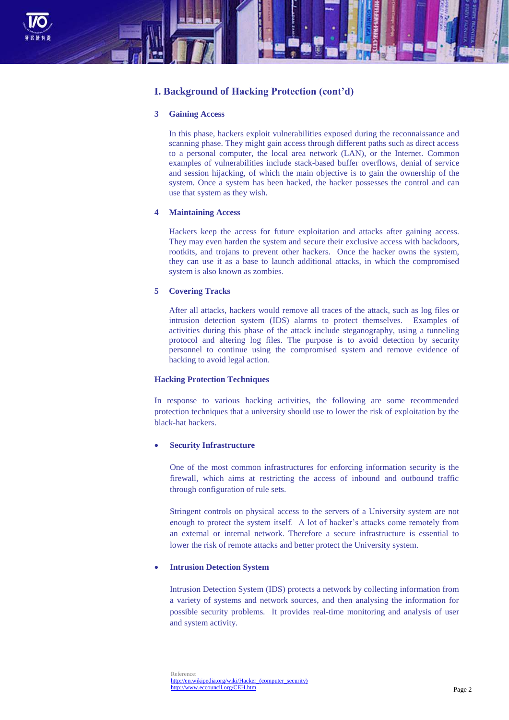

# **I. Background of Hacking Protection (cont'd)**

# **3 Gaining Access**

In this phase, hackers exploit vulnerabilities exposed during the reconnaissance and scanning phase. They might gain access through different paths such as direct access to a personal computer, the local area network (LAN), or the Internet. Common examples of vulnerabilities include stack-based buffer overflows, denial of service and session hijacking, of which the main objective is to gain the ownership of the system. Once a system has been hacked, the hacker possesses the control and can use that system as they wish.

# **4 Maintaining Access**

Hackers keep the access for future exploitation and attacks after gaining access. They may even harden the system and secure their exclusive access with backdoors, rootkits, and trojans to prevent other hackers. Once the hacker owns the system, they can use it as a base to launch additional attacks, in which the compromised system is also known as zombies.

# **5 Covering Tracks**

After all attacks, hackers would remove all traces of the attack, such as log files or intrusion detection system (IDS) alarms to protect themselves. Examples of activities during this phase of the attack include steganography, using a tunneling protocol and altering log files. The purpose is to avoid detection by security personnel to continue using the compromised system and remove evidence of hacking to avoid legal action.

# **Hacking Protection Techniques**

In response to various hacking activities, the following are some recommended protection techniques that a university should use to lower the risk of exploitation by the black-hat hackers.

# **Security Infrastructure**

One of the most common infrastructures for enforcing information security is the firewall, which aims at restricting the access of inbound and outbound traffic through configuration of rule sets.

Stringent controls on physical access to the servers of a University system are not enough to protect the system itself. A lot of hacker's attacks come remotely from an external or internal network. Therefore a secure infrastructure is essential to lower the risk of remote attacks and better protect the University system.

# **Intrusion Detection System**

Intrusion Detection System (IDS) protects a network by collecting information from a variety of systems and network sources, and then analysing the information for possible security problems. It provides real-time monitoring and analysis of user and system activity.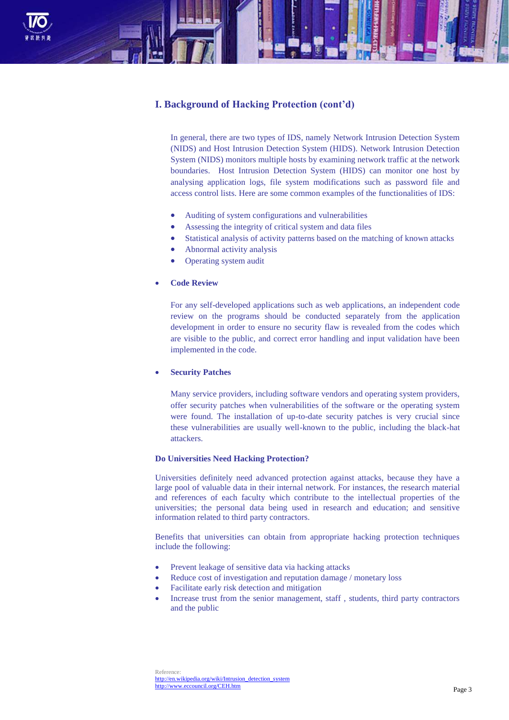

# **I. Background of Hacking Protection (cont'd)**

In general, there are two types of IDS, namely Network Intrusion Detection System (NIDS) and Host Intrusion Detection System (HIDS). Network Intrusion Detection System (NIDS) monitors multiple hosts by examining network traffic at the network boundaries. Host Intrusion Detection System (HIDS) can monitor one host by analysing application logs, file system modifications such as password file and access control lists. Here are some common examples of the functionalities of IDS:

- Auditing of system configurations and vulnerabilities
- Assessing the integrity of critical system and data files
- Statistical analysis of activity patterns based on the matching of known attacks
- Abnormal activity analysis
- Operating system audit

# **Code Review**

For any self-developed applications such as web applications, an independent code review on the programs should be conducted separately from the application development in order to ensure no security flaw is revealed from the codes which are visible to the public, and correct error handling and input validation have been implemented in the code.

# **Security Patches**

Many service providers, including software vendors and operating system providers, offer security patches when vulnerabilities of the software or the operating system were found. The installation of up-to-date security patches is very crucial since these vulnerabilities are usually well-known to the public, including the black-hat attackers.

# **Do Universities Need Hacking Protection?**

Universities definitely need advanced protection against attacks, because they have a large pool of valuable data in their internal network. For instances, the research material and references of each faculty which contribute to the intellectual properties of the universities; the personal data being used in research and education; and sensitive information related to third party contractors.

Benefits that universities can obtain from appropriate hacking protection techniques include the following:

- Prevent leakage of sensitive data via hacking attacks
- Reduce cost of investigation and reputation damage / monetary loss
- Facilitate early risk detection and mitigation
- Increase trust from the senior management, staff , students, third party contractors and the public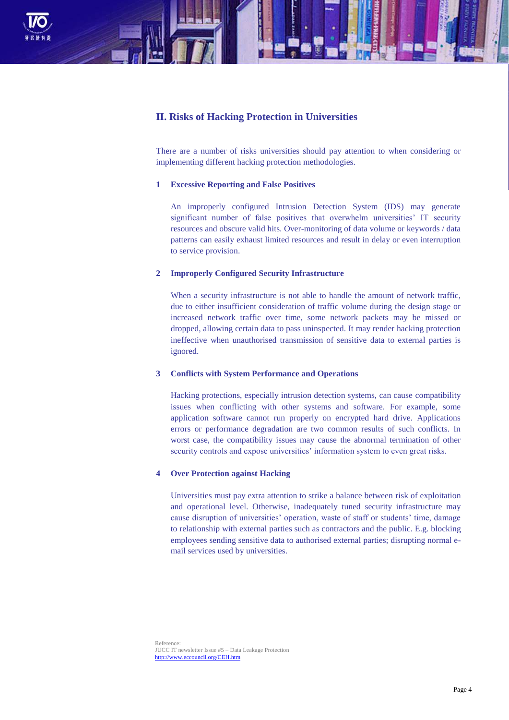

# **II. Risks of Hacking Protection in Universities**

There are a number of risks universities should pay attention to when considering or implementing different hacking protection methodologies.

# **1 Excessive Reporting and False Positives**

An improperly configured Intrusion Detection System (IDS) may generate significant number of false positives that overwhelm universities' IT security resources and obscure valid hits. Over-monitoring of data volume or keywords / data patterns can easily exhaust limited resources and result in delay or even interruption to service provision.

# **2 Improperly Configured Security Infrastructure**

When a security infrastructure is not able to handle the amount of network traffic, due to either insufficient consideration of traffic volume during the design stage or increased network traffic over time, some network packets may be missed or dropped, allowing certain data to pass uninspected. It may render hacking protection ineffective when unauthorised transmission of sensitive data to external parties is ignored.

# **3 Conflicts with System Performance and Operations**

Hacking protections, especially intrusion detection systems, can cause compatibility issues when conflicting with other systems and software. For example, some application software cannot run properly on encrypted hard drive. Applications errors or performance degradation are two common results of such conflicts. In worst case, the compatibility issues may cause the abnormal termination of other security controls and expose universities' information system to even great risks.

# **4 Over Protection against Hacking**

Universities must pay extra attention to strike a balance between risk of exploitation and operational level. Otherwise, inadequately tuned security infrastructure may cause disruption of universities' operation, waste of staff or students' time, damage to relationship with external parties such as contractors and the public. E.g. blocking employees sending sensitive data to authorised external parties; disrupting normal email services used by universities.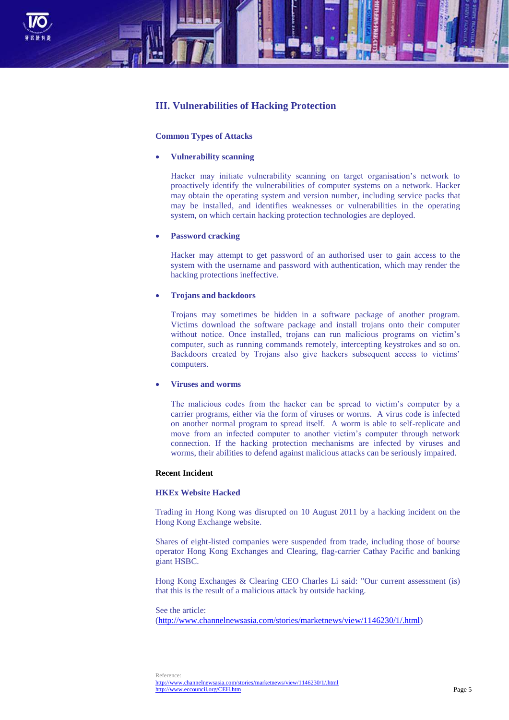

# **III. Vulnerabilities of Hacking Protection**

## **Common Types of Attacks**

## **Vulnerability scanning**

Hacker may initiate vulnerability scanning on target organisation's network to proactively identify the vulnerabilities of computer systems on a network. Hacker may obtain the operating system and version number, including service packs that may be installed, and identifies weaknesses or vulnerabilities in the operating system, on which certain hacking protection technologies are deployed.

# **Password cracking**

Hacker may attempt to get password of an authorised user to gain access to the system with the username and password with authentication, which may render the hacking protections ineffective.

# **Trojans and backdoors**

Trojans may sometimes be hidden in a software package of another program. Victims download the software package and install trojans onto their computer without notice. Once installed, trojans can run malicious programs on victim's computer, such as running commands remotely, intercepting keystrokes and so on. Backdoors created by Trojans also give hackers subsequent access to victims' computers.

## **Viruses and worms**

The malicious codes from the hacker can be spread to victim's computer by a carrier programs, either via the form of viruses or worms. A virus code is infected on another normal program to spread itself. A worm is able to self-replicate and move from an infected computer to another victim's computer through network connection. If the hacking protection mechanisms are infected by viruses and worms, their abilities to defend against malicious attacks can be seriously impaired.

# **Recent Incident**

# **HKEx Website Hacked**

Trading in Hong Kong was disrupted on 10 August 2011 by a hacking incident on the Hong Kong Exchange website.

Shares of eight-listed companies were suspended from trade, including those of bourse operator Hong Kong Exchanges and Clearing, flag-carrier Cathay Pacific and banking giant HSBC.

Hong Kong Exchanges & Clearing CEO Charles Li said: "Our current assessment (is) that this is the result of a malicious attack by outside hacking.

#### See the article:

[\(http://www.channelnewsasia.com/stories/marketnews/view/1146230/1/.html\)](http://www.channelnewsasia.com/stories/marketnews/view/1146230/1/.html)

Reference: <http://www.channelnewsasia.com/stories/marketnews/view/1146230/1/.html> <http://www.eccouncil.org/CEH.htm>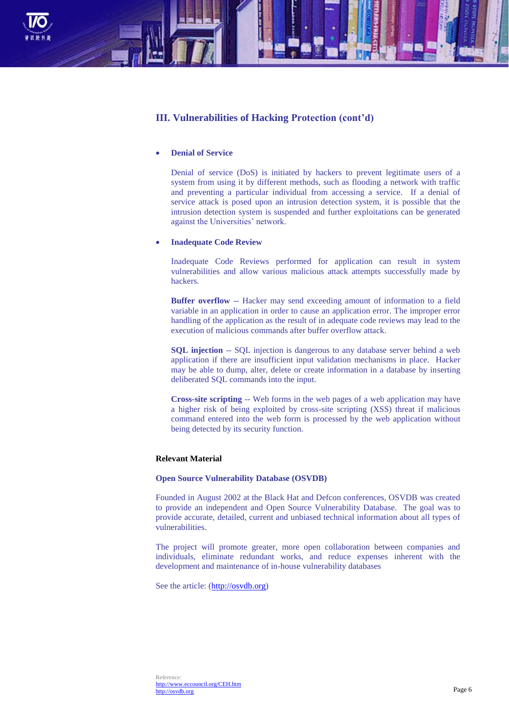

# **III. Vulnerabilities of Hacking Protection (cont'd)**

# **Denial of Service**

Denial of service (DoS) is initiated by hackers to prevent legitimate users of a system from using it by different methods, such as flooding a network with traffic and preventing a particular individual from accessing a service. If a denial of service attack is posed upon an intrusion detection system, it is possible that the intrusion detection system is suspended and further exploitations can be generated against the Universities' network.

## **Inadequate Code Review**

Inadequate Code Reviews performed for application can result in system vulnerabilities and allow various malicious attack attempts successfully made by hackers.

**Buffer overflow** -- Hacker may send exceeding amount of information to a field variable in an application in order to cause an application error. The improper error handling of the application as the result of in adequate code reviews may lead to the execution of malicious commands after buffer overflow attack.

**SQL injection** -- SQL injection is dangerous to any database server behind a web application if there are insufficient input validation mechanisms in place. Hacker may be able to dump, alter, delete or create information in a database by inserting deliberated SQL commands into the input.

**Cross-site scripting** -- Web forms in the web pages of a web application may have a higher risk of being exploited by cross-site scripting (XSS) threat if malicious command entered into the web form is processed by the web application without being detected by its security function.

## **Relevant Material**

# **Open Source Vulnerability Database (OSVDB)**

Founded in August 2002 at the Black Hat and Defcon conferences, OSVDB was created to provide an independent and Open Source Vulnerability Database. The goal was to provide accurate, detailed, current and unbiased technical information about all types of vulnerabilities.

The project will promote greater, more open collaboration between companies and individuals, eliminate redundant works, and reduce expenses inherent with the development and maintenance of in-house vulnerability databases

See the article: [\(http://osvdb.org\)](http://osvdb.org/)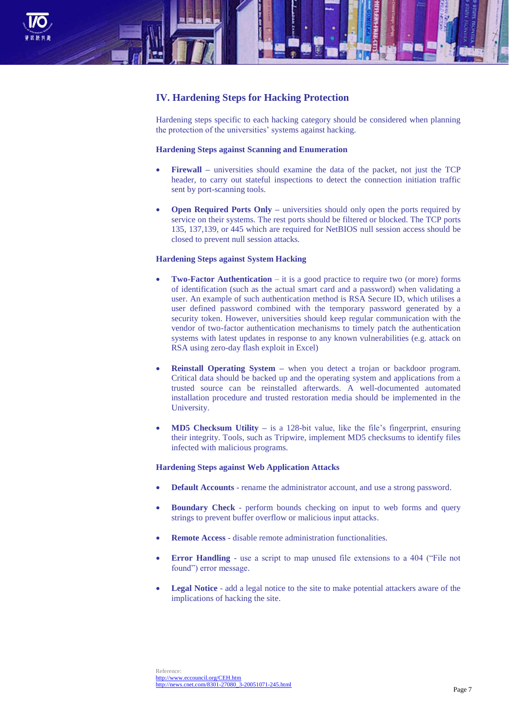

# **IV. Hardening Steps for Hacking Protection**

Hardening steps specific to each hacking category should be considered when planning the protection of the universities' systems against hacking.

# **Hardening Steps against Scanning and Enumeration**

- **Firewall –** universities should examine the data of the packet, not just the TCP header, to carry out stateful inspections to detect the connection initiation traffic sent by port-scanning tools.
- **Open Required Ports Only –** universities should only open the ports required by service on their systems. The rest ports should be filtered or blocked. The TCP ports 135, 137,139, or 445 which are required for NetBIOS null session access should be closed to prevent null session attacks.

# **Hardening Steps against System Hacking**

- **Two-Factor Authentication** it is a good practice to require two (or more) forms of identification (such as the actual smart card and a password) when validating a user. An example of such authentication method is RSA Secure ID, which utilises a user defined password combined with the temporary password generated by a security token. However, universities should keep regular communication with the vendor of two-factor authentication mechanisms to timely patch the authentication systems with latest updates in response to any known vulnerabilities (e.g. attack on RSA using zero-day flash exploit in Excel)
- **Reinstall Operating System –** when you detect a trojan or backdoor program. Critical data should be backed up and the operating system and applications from a trusted source can be reinstalled afterwards. A well-documented automated installation procedure and trusted restoration media should be implemented in the University.
- **MD5 Checksum Utility –** is a 128-bit value, like the file's fingerprint, ensuring their integrity. Tools, such as Tripwire, implement MD5 checksums to identify files infected with malicious programs.

## **Hardening Steps against Web Application Attacks**

- **Default Accounts** rename the administrator account, and use a strong password.
- **Boundary Check** perform bounds checking on input to web forms and query strings to prevent buffer overflow or malicious input attacks.
- **Remote Access** disable remote administration functionalities.
- **Error Handling**  use a script to map unused file extensions to a 404 ("File not found") error message.
- **Legal Notice** add a legal notice to the site to make potential attackers aware of the implications of hacking the site.